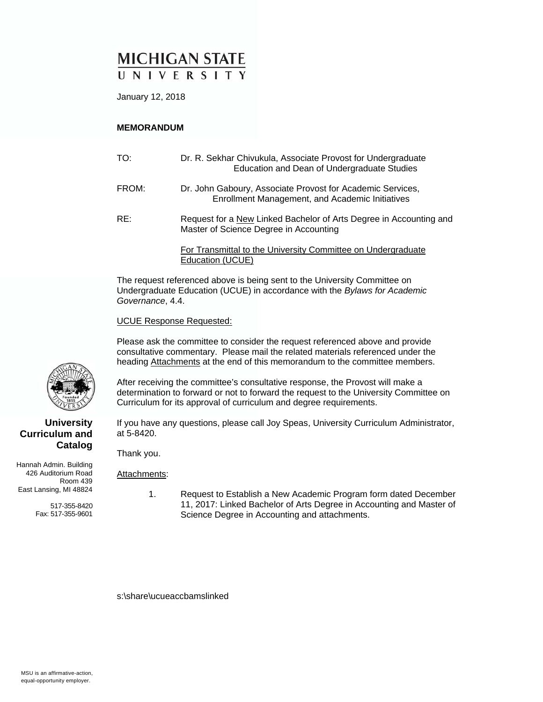# **MICHIGAN STATE**

January 12, 2018

#### **MEMORANDUM**

| TO:   | Dr. R. Sekhar Chivukula, Associate Provost for Undergraduate<br>Education and Dean of Undergraduate Studies   |
|-------|---------------------------------------------------------------------------------------------------------------|
| FROM: | Dr. John Gaboury, Associate Provost for Academic Services,<br>Enrollment Management, and Academic Initiatives |
| RE:   | Request for a New Linked Bachelor of Arts Degree in Accounting and<br>Master of Science Degree in Accounting  |
|       | For Transmittal to the University Committee on Undergraduate<br>Education (UCUE)                              |

The request referenced above is being sent to the University Committee on Undergraduate Education (UCUE) in accordance with the *Bylaws for Academic Governance*, 4.4.

UCUE Response Requested:

Please ask the committee to consider the request referenced above and provide consultative commentary. Please mail the related materials referenced under the heading Attachments at the end of this memorandum to the committee members.

After receiving the committee's consultative response, the Provost will make a determination to forward or not to forward the request to the University Committee on Curriculum for its approval of curriculum and degree requirements.

If you have any questions, please call Joy Speas, University Curriculum Administrator, at 5-8420.

Thank you.

Attachments:

426 Auditorium Road Room 439 East Lansing, MI 48824

Hannah Admin. Building

**Curriculum and** 

517-355-8420 Fax: 517-355-9601

 1. Request to Establish a New Academic Program form dated December 11, 2017: Linked Bachelor of Arts Degree in Accounting and Master of Science Degree in Accounting and attachments.

s:\share\ucueaccbamslinked



**Catalog**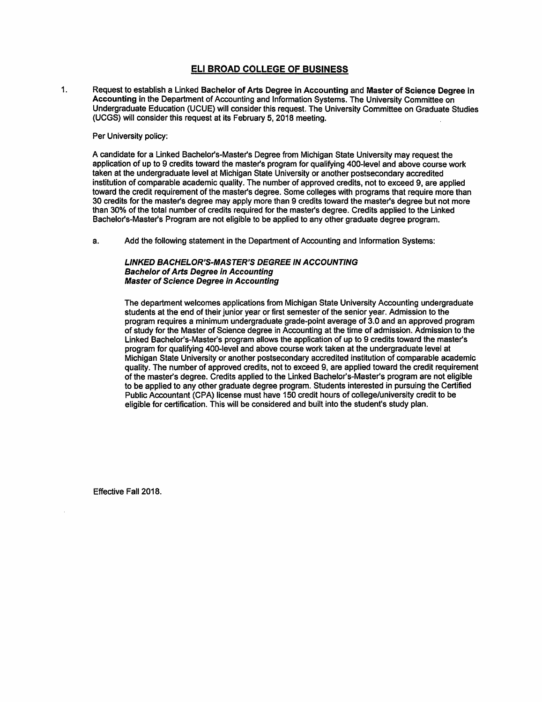#### ELI BROAD COLLEGE OF BUSINESS

 $1.$ Request to establish a Linked Bachelor of Arts Degree in Accounting and Master of Science Degree in Accounting in the Department of Accounting and Information Systems. The University Committee on Undergraduate Education (UCUE) will consider this request. The University Committee on Graduate Studies (UCGS) will consider this request at its February 5, 2018 meeting.

Per University policy:

A candidate for a Linked Bachelor's-Master's Degree from Michigan State University may request the application of up to 9 credits toward the master's program for qualifying 400-level and above course work taken at the undergraduate level at Michigan State University or another postsecondary accredited institution of comparable academic quality. The number of approved credits, not to exceed 9, are applied toward the credit requirement of the master's degree. Some colleges with programs that require more than 30 credits for the master's degree may apply more than 9 credits toward the master's degree but not more than 30% of the total number of credits required for the master's degree. Credits applied to the Linked Bachelor's-Master's Program are not eligible to be applied to any other graduate degree program.

Add the following statement in the Department of Accounting and Information Systems: a.

#### **LINKED BACHELOR'S-MASTER'S DEGREE IN ACCOUNTING Bachelor of Arts Degree in Accounting Master of Science Degree in Accounting**

The department welcomes applications from Michigan State University Accounting undergraduate students at the end of their junior year or first semester of the senior year. Admission to the program requires a minimum undergraduate grade-point average of 3.0 and an approved program of study for the Master of Science degree in Accounting at the time of admission. Admission to the Linked Bachelor's-Master's program allows the application of up to 9 credits toward the master's program for qualifying 400-level and above course work taken at the undergraduate level at Michigan State University or another postsecondary accredited institution of comparable academic quality. The number of approved credits, not to exceed 9, are applied toward the credit requirement of the master's degree. Credits applied to the Linked Bachelor's-Master's program are not eligible to be applied to any other graduate degree program. Students interested in pursuing the Certified Public Accountant (CPA) license must have 150 credit hours of college/university credit to be eligible for certification. This will be considered and built into the student's study plan.

Effective Fall 2018.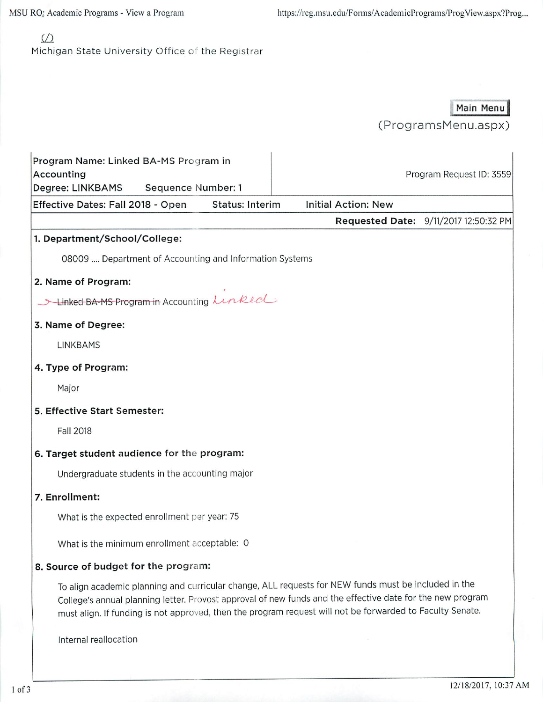MSU RO; Academic Programs - View a Program

https://reg.msu.edu/Forms/AcademicPrograms/ProgView.aspx?Prog...

# $\sqrt{2}$ Michigan State University Office of the Registrar

Main Menu

(ProgramsMenu.aspx)

| Program Name: Linked BA-MS Program in<br>Accounting<br>Degree: LINKBAMS<br>Sequence Number: 1 | Program Request ID: 3559                                                                                                                                                                                                                                                                                                        |  |  |  |  |  |  |
|-----------------------------------------------------------------------------------------------|---------------------------------------------------------------------------------------------------------------------------------------------------------------------------------------------------------------------------------------------------------------------------------------------------------------------------------|--|--|--|--|--|--|
| Effective Dates: Fall 2018 - Open<br><b>Status: Interim</b>                                   | <b>Initial Action: New</b>                                                                                                                                                                                                                                                                                                      |  |  |  |  |  |  |
|                                                                                               | Requested Date: 9/11/2017 12:50:32 PM                                                                                                                                                                                                                                                                                           |  |  |  |  |  |  |
| 1. Department/School/College:                                                                 |                                                                                                                                                                                                                                                                                                                                 |  |  |  |  |  |  |
| 08009  Department of Accounting and Information Systems                                       |                                                                                                                                                                                                                                                                                                                                 |  |  |  |  |  |  |
| 2. Name of Program:                                                                           |                                                                                                                                                                                                                                                                                                                                 |  |  |  |  |  |  |
| Unked BA-MS Program in Accounting Linked                                                      |                                                                                                                                                                                                                                                                                                                                 |  |  |  |  |  |  |
| 3. Name of Degree:                                                                            |                                                                                                                                                                                                                                                                                                                                 |  |  |  |  |  |  |
| LINKBAMS                                                                                      |                                                                                                                                                                                                                                                                                                                                 |  |  |  |  |  |  |
| 4. Type of Program:                                                                           |                                                                                                                                                                                                                                                                                                                                 |  |  |  |  |  |  |
| Major                                                                                         |                                                                                                                                                                                                                                                                                                                                 |  |  |  |  |  |  |
| 5. Effective Start Semester:                                                                  |                                                                                                                                                                                                                                                                                                                                 |  |  |  |  |  |  |
| <b>Fall 2018</b>                                                                              |                                                                                                                                                                                                                                                                                                                                 |  |  |  |  |  |  |
| 6. Target student audience for the program:                                                   |                                                                                                                                                                                                                                                                                                                                 |  |  |  |  |  |  |
| Undergraduate students in the accounting major                                                |                                                                                                                                                                                                                                                                                                                                 |  |  |  |  |  |  |
| 7. Enrollment:                                                                                |                                                                                                                                                                                                                                                                                                                                 |  |  |  |  |  |  |
| What is the expected enrollment per year: 75                                                  |                                                                                                                                                                                                                                                                                                                                 |  |  |  |  |  |  |
| What is the minimum enrollment acceptable: 0                                                  |                                                                                                                                                                                                                                                                                                                                 |  |  |  |  |  |  |
| 8. Source of budget for the program:                                                          |                                                                                                                                                                                                                                                                                                                                 |  |  |  |  |  |  |
|                                                                                               | To align academic planning and curricular change, ALL requests for NEW funds must be included in the<br>College's annual planning letter. Provost approval of new funds and the effective date for the new program<br>must align. If funding is not approved, then the program request will not be forwarded to Faculty Senate. |  |  |  |  |  |  |
| Internal reallocation                                                                         |                                                                                                                                                                                                                                                                                                                                 |  |  |  |  |  |  |
|                                                                                               |                                                                                                                                                                                                                                                                                                                                 |  |  |  |  |  |  |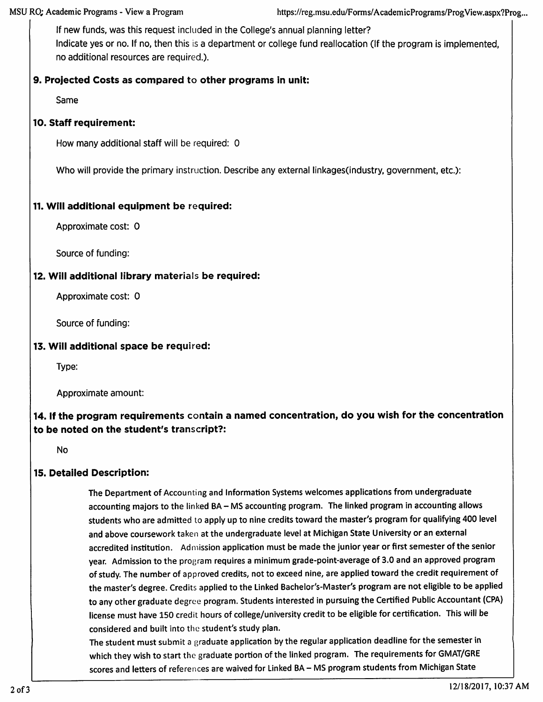If new funds, was this request included in the College's annual planning letter? Indicate yes or no. If no, then this is a department or college fund reallocation (If the program is implemented, no additional resources are required.).

# 9. Projected Costs as compared to other programs in unit:

Same

## 10. Staff requirement:

How many additional staff will be required: 0

Who will provide the primary instruction. Describe any external linkages (industry, government, etc.):

## 11. Will additional equipment be required:

Approximate cost: 0

Source of funding:

## 12. Will additional library materials be required:

Approximate cost: 0

Source of funding:

# 13. Will additional space be required:

Type:

Approximate amount:

# 14. If the program requirements contain a named concentration, do you wish for the concentration to be noted on the student's transcript?:

**No** 

# 15. Detailed Description:

The Department of Accounting and Information Systems welcomes applications from undergraduate accounting majors to the linked BA - MS accounting program. The linked program in accounting allows students who are admitted to apply up to nine credits toward the master's program for qualifying 400 level and above coursework taken at the undergraduate level at Michigan State University or an external accredited institution. Admission application must be made the junior year or first semester of the senior year. Admission to the program requires a minimum grade-point-average of 3.0 and an approved program of study. The number of approved credits, not to exceed nine, are applied toward the credit requirement of the master's degree. Credits applied to the Linked Bachelor's-Master's program are not eligible to be applied to any other graduate degree program. Students interested in pursuing the Certified Public Accountant (CPA) license must have 150 credit hours of college/university credit to be eligible for certification. This will be considered and built into the student's study plan.

The student must submit a graduate application by the regular application deadline for the semester in which they wish to start the graduate portion of the linked program. The requirements for GMAT/GRE scores and letters of references are waived for Linked BA - MS program students from Michigan State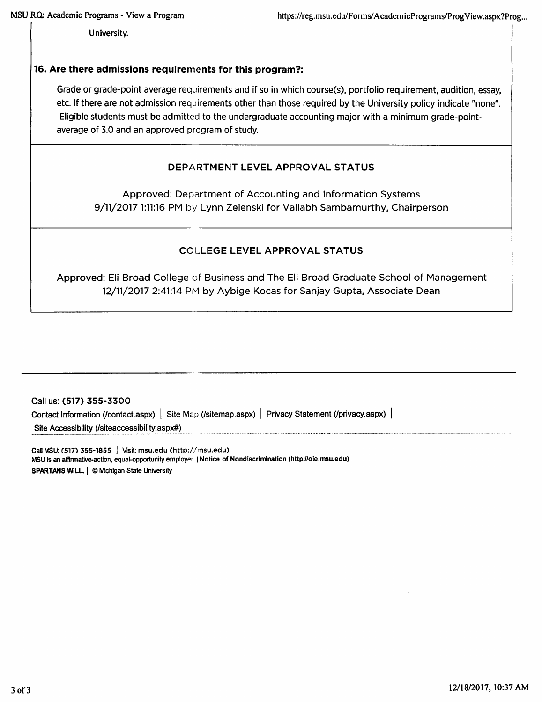University.

#### 16. Are there admissions requirements for this program?:

Grade or grade-point average requirements and if so in which course(s), portfolio requirement, audition, essay, etc. If there are not admission requirements other than those required by the University policy indicate "none". Eligible students must be admitted to the undergraduate accounting major with a minimum grade-pointaverage of 3.0 and an approved program of study.

## DEPARTMENT LEVEL APPROVAL STATUS

Approved: Department of Accounting and Information Systems 9/11/2017 1:11:16 PM by Lynn Zelenski for Vallabh Sambamurthy, Chairperson

## **COLLEGE LEVEL APPROVAL STATUS**

Approved: Eli Broad College of Business and The Eli Broad Graduate School of Management 12/11/2017 2:41:14 PM by Aybige Kocas for Sanjay Gupta, Associate Dean

| Call us: (517) 355-3300                                                                            |  |  |  |  |  |
|----------------------------------------------------------------------------------------------------|--|--|--|--|--|
| Contact Information (/contact.aspx)   Site Map (/sitemap.aspx)   Privacy Statement (/privacy.aspx) |  |  |  |  |  |
| Site Accessibility (/siteaccessibility.aspx#)                                                      |  |  |  |  |  |

Call MSU: (517) 355-1855 | Visit: msu.edu (http://msu.edu) MSU is an affirmative-action, equal-opportunity employer. | Notice of Nondiscrimination (http://oie.msu.edu) **SPARTANS WILL.** | © Michigan State University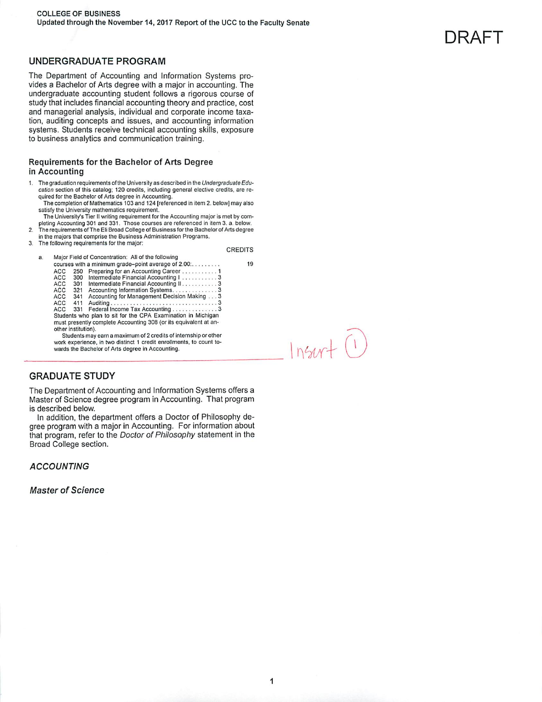#### **UNDERGRADUATE PROGRAM**

The Department of Accounting and Information Systems provides a Bachelor of Arts degree with a major in accounting. The undergraduate accounting student follows a rigorous course of study that includes financial accounting theory and practice, cost and managerial analysis, individual and corporate income taxation, auditing concepts and issues, and accounting information systems. Students receive technical accounting skills, exposure to business analytics and communication training.

#### Requirements for the Bachelor of Arts Degree in Accounting

1. The graduation requirements of the University as described in the Undergraduate Education section of this catalog; 120 credits, including general elective credits, are required for the Bachelor of Arts degree in Accounting.

- The completion of Mathematics 103 and 124 [referenced in item 2. below] may also satisfy the University mathematics requirement.<br>The University's Tier II writing requirement for the Accounting major is met by completing Accounting 301 and 331. Those courses are referenced in item 3. a. below.
- $\overline{2}$ The requirements of The Eli Broad College of Business for the Bachelor of Arts degree
- in the majors that comprise the Business Administration Programs.
- 3. The following requirements for the major:

**CREDITS** 

 $Inswf(1)$ 

DRAFT

| a. | Major Field of Concentration: All of the following<br>courses with a minimum grade-point average of $2.00$ |                     |                                                                     |  |  |
|----|------------------------------------------------------------------------------------------------------------|---------------------|---------------------------------------------------------------------|--|--|
|    |                                                                                                            |                     |                                                                     |  |  |
|    | ACC                                                                                                        | 250                 | Preparing for an Accounting Career 1                                |  |  |
|    | <b>ACC</b>                                                                                                 | 300                 | Intermediate Financial Accounting I 3                               |  |  |
|    | <b>ACC</b>                                                                                                 | 301                 | Intermediate Financial Accounting II. 3                             |  |  |
|    | ACC.                                                                                                       | 321                 | Accounting Information Systems3                                     |  |  |
|    | ACC                                                                                                        | 341                 | Accounting for Management Decision Making 3                         |  |  |
|    | <b>ACC</b>                                                                                                 | 411                 |                                                                     |  |  |
|    | <b>ACC</b>                                                                                                 | 331                 | Federal Income Tax Accounting $\ldots \ldots \ldots \ldots$         |  |  |
|    |                                                                                                            |                     | Students who plan to sit for the CPA Examination in Michigan        |  |  |
|    |                                                                                                            |                     | must presently complete Accounting 308 (or its equivalent at an-    |  |  |
|    |                                                                                                            | other institution). |                                                                     |  |  |
|    |                                                                                                            |                     | Students may earn a maximum of 2 credits of internship or other     |  |  |
|    |                                                                                                            |                     | work experience, in two distinct 1 credit enrollments, to count to- |  |  |
|    |                                                                                                            |                     | wards the Bachelor of Arts degree in Accounting.                    |  |  |

#### **GRADUATE STUDY**

The Department of Accounting and Information Systems offers a Master of Science degree program in Accounting. That program is described below.

In addition, the department offers a Doctor of Philosophy degree program with a major in Accounting. For information about that program, refer to the Doctor of Philosophy statement in the Broad College section.

#### **ACCOUNTING**

**Master of Science**